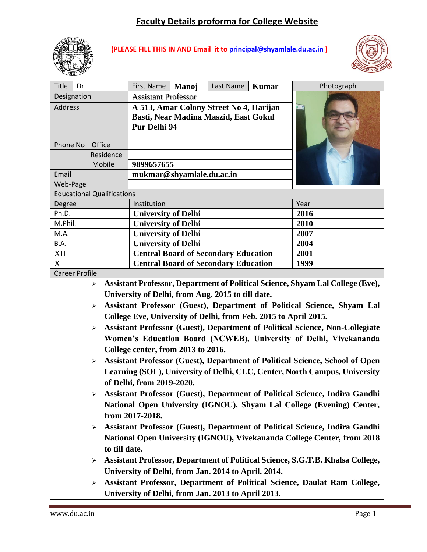# **Faculty Details proforma for College Website**



**(PLEASE FILL THIS IN AND Email it to [principal@shyamlale.du.ac.in](mailto:principal@shyamlale.du.ac.in) )**



| Manoj<br>Photograph<br>Designation<br><b>Assistant Professor</b><br><b>Address</b><br>A 513, Amar Colony Street No 4, Harijan |  |  |  |  |  |  |  |  |
|-------------------------------------------------------------------------------------------------------------------------------|--|--|--|--|--|--|--|--|
|                                                                                                                               |  |  |  |  |  |  |  |  |
|                                                                                                                               |  |  |  |  |  |  |  |  |
| Basti, Near Madina Maszid, East Gokul                                                                                         |  |  |  |  |  |  |  |  |
| Pur Delhi 94                                                                                                                  |  |  |  |  |  |  |  |  |
|                                                                                                                               |  |  |  |  |  |  |  |  |
| Phone No<br>Office                                                                                                            |  |  |  |  |  |  |  |  |
| Residence                                                                                                                     |  |  |  |  |  |  |  |  |
| Mobile<br>9899657655                                                                                                          |  |  |  |  |  |  |  |  |
| mukmar@shyamlale.du.ac.in<br>Email                                                                                            |  |  |  |  |  |  |  |  |
| Web-Page                                                                                                                      |  |  |  |  |  |  |  |  |
| <b>Educational Qualifications</b>                                                                                             |  |  |  |  |  |  |  |  |
| Degree<br>Institution<br>Year                                                                                                 |  |  |  |  |  |  |  |  |
| Ph.D.<br><b>University of Delhi</b><br>2016                                                                                   |  |  |  |  |  |  |  |  |
| M.Phil.<br><b>University of Delhi</b><br>2010                                                                                 |  |  |  |  |  |  |  |  |
| <b>University of Delhi</b><br>2007<br>M.A.                                                                                    |  |  |  |  |  |  |  |  |
| <b>University of Delhi</b><br>B.A.<br>2004                                                                                    |  |  |  |  |  |  |  |  |
| XII<br><b>Central Board of Secondary Education</b><br>2001                                                                    |  |  |  |  |  |  |  |  |
| X<br><b>Central Board of Secondary Education</b><br>1999                                                                      |  |  |  |  |  |  |  |  |
| <b>Career Profile</b>                                                                                                         |  |  |  |  |  |  |  |  |
| Assistant Professor, Department of Political Science, Shyam Lal College (Eve),<br>$\blacktriangleright$                       |  |  |  |  |  |  |  |  |
| University of Delhi, from Aug. 2015 to till date.                                                                             |  |  |  |  |  |  |  |  |
| Assistant Professor (Guest), Department of Political Science, Shyam Lal<br>$\blacktriangleright$                              |  |  |  |  |  |  |  |  |
| College Eve, University of Delhi, from Feb. 2015 to April 2015.                                                               |  |  |  |  |  |  |  |  |
| Assistant Professor (Guest), Department of Political Science, Non-Collegiate<br>$\blacktriangleright$                         |  |  |  |  |  |  |  |  |
| Women's Education Board (NCWEB), University of Delhi, Vivekananda                                                             |  |  |  |  |  |  |  |  |
| College center, from 2013 to 2016.                                                                                            |  |  |  |  |  |  |  |  |
| Assistant Professor (Guest), Department of Political Science, School of Open<br>$\blacktriangleright$                         |  |  |  |  |  |  |  |  |
| Learning (SOL), University of Delhi, CLC, Center, North Campus, University                                                    |  |  |  |  |  |  |  |  |
|                                                                                                                               |  |  |  |  |  |  |  |  |
| of Delhi, from 2019-2020.                                                                                                     |  |  |  |  |  |  |  |  |
| Assistant Professor (Guest), Department of Political Science, Indira Gandhi                                                   |  |  |  |  |  |  |  |  |
| National Open University (IGNOU), Shyam Lal College (Evening) Center,                                                         |  |  |  |  |  |  |  |  |
| from 2017-2018.                                                                                                               |  |  |  |  |  |  |  |  |
| Assistant Professor (Guest), Department of Political Science, Indira Gandhi<br>➤                                              |  |  |  |  |  |  |  |  |
| National Open University (IGNOU), Vivekananda College Center, from 2018                                                       |  |  |  |  |  |  |  |  |
| to till date.                                                                                                                 |  |  |  |  |  |  |  |  |
| Assistant Professor, Department of Political Science, S.G.T.B. Khalsa College,<br>$\blacktriangleright$                       |  |  |  |  |  |  |  |  |
| University of Delhi, from Jan. 2014 to April. 2014.                                                                           |  |  |  |  |  |  |  |  |
| Assistant Professor, Department of Political Science, Daulat Ram College,<br>➤                                                |  |  |  |  |  |  |  |  |
| University of Delhi, from Jan. 2013 to April 2013.                                                                            |  |  |  |  |  |  |  |  |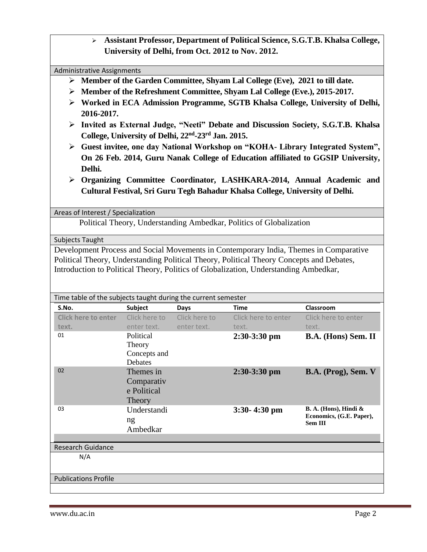➢ **Assistant Professor, Department of Political Science, S.G.T.B. Khalsa College, University of Delhi, from Oct. 2012 to Nov. 2012.**

#### Administrative Assignments

- ➢ **Member of the Garden Committee, Shyam Lal College (Eve), 2021 to till date.**
- ➢ **Member of the Refreshment Committee, Shyam Lal College (Eve.), 2015-2017.**
- ➢ **Worked in ECA Admission Programme, SGTB Khalsa College, University of Delhi, 2016-2017.**
- ➢ **Invited as External Judge, "Neeti" Debate and Discussion Society, S.G.T.B. Khalsa College, University of Delhi, 22nd -23rd Jan. 2015.**
- ➢ **Guest invitee, one day National Workshop on "KOHA- Library Integrated System", On 26 Feb. 2014, Guru Nanak College of Education affiliated to GGSIP University, Delhi.**
- ➢ **Organizing Committee Coordinator, LASHKARA-2014, Annual Academic and Cultural Festival, Sri Guru Tegh Bahadur Khalsa College, University of Delhi.**

Areas of Interest / Specialization

Political Theory, Understanding Ambedkar, Politics of Globalization

Subjects Taught

Development Process and Social Movements in Contemporary India, Themes in Comparative Political Theory, Understanding Political Theory, Political Theory Concepts and Debates, Introduction to Political Theory, Politics of Globalization, Understanding Ambedkar,

| Time table of the subjects taught during the current semester |                                                  |               |                     |                                                                     |  |  |  |  |  |  |
|---------------------------------------------------------------|--------------------------------------------------|---------------|---------------------|---------------------------------------------------------------------|--|--|--|--|--|--|
| S.No.                                                         | <b>Subject</b>                                   | Days          | <b>Time</b>         | Classroom                                                           |  |  |  |  |  |  |
| <b>Click here to enter</b>                                    | Click here to                                    | Click here to | Click here to enter | Click here to enter                                                 |  |  |  |  |  |  |
| text.                                                         | enter text.                                      | enter text.   | text.               | text.                                                               |  |  |  |  |  |  |
| 01                                                            | Political<br>Theory<br>Concepts and<br>Debates   |               | $2:30-3:30$ pm      | B.A. (Hons) Sem. II                                                 |  |  |  |  |  |  |
| 02                                                            | Themes in<br>Comparativ<br>e Political<br>Theory |               | $2:30-3:30$ pm      | B.A. (Prog), Sem. V                                                 |  |  |  |  |  |  |
| 03                                                            | Understandi<br>ng<br>Ambedkar                    |               | $3:30 - 4:30$ pm    | B. A. (Hons), Hindi &<br>Economics, (G.E. Paper),<br><b>Sem III</b> |  |  |  |  |  |  |
| <b>Research Guidance</b>                                      |                                                  |               |                     |                                                                     |  |  |  |  |  |  |
| N/A                                                           |                                                  |               |                     |                                                                     |  |  |  |  |  |  |
| <b>Publications Profile</b>                                   |                                                  |               |                     |                                                                     |  |  |  |  |  |  |
|                                                               |                                                  |               |                     |                                                                     |  |  |  |  |  |  |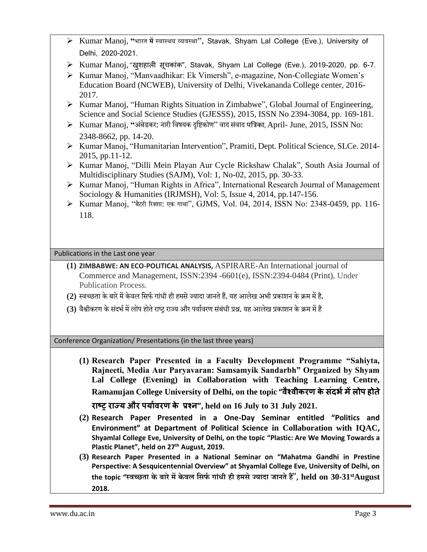| ▶ Kumar Manoj, "भारत में स्वास्थय व्यवस्था", Stavak, Shyam Lal College (Eve.), University of |  |  |  |  |
|----------------------------------------------------------------------------------------------|--|--|--|--|
| Delhi, 2020-2021.                                                                            |  |  |  |  |

- ➢ Kumar Manoj, "खुशहाली सूचकाांक", Stavak, Shyam Lal College (Eve.), 2019-2020, pp. 6-7.
- ➢ Kumar Manoj, "Manvaadhikar: Ek Vimersh", e-magazine, Non-Collegiate Women's Education Board (NCWEB), University of Delhi, Vivekananda College center, 2016- 2017.
- ➢ Kumar Manoj, "Human Rights Situation in Zimbabwe", Global Journal of Engineering, Science and Social Science Studies (GJESSS), 2015, ISSN No 2394-3084, pp. 169-181.
- ➢ Kumar Manoj, **"**अंबेडकर: नारी विषयक दृविकोण" िाद सिं ाद पत्रिका, April- June, 2015, ISSN No: 2348-8662, pp. 14-20.
- ➢ Kumar Manoj, "Humanitarian Intervention", Pramiti, Dept. Political Science, SLCe. 2014- 2015, pp.11-12.
- ➢ Kumar Manoj, "Dilli Mein Playan Aur Cycle Rickshaw Chalak", South Asia Journal of Multidisciplinary Studies (SAJM), Vol: 1, No-02, 2015, pp. 30-33.
- ➢ Kumar Manoj, "Human Rights in Africa", International Research Journal of Management Sociology & Humanities (IRJMSH), Vol: 5, Issue 4, 2014, pp.147-156.
- ➢ Kumar Manoj, "बैटरी ररक्शा: एक गाथा", GJMS, Vol. 04, 2014, ISSN No: 2348-0459, pp. 116- 118.

Publications in the Last one year

- **(1) ZIMBABWE: AN ECO-POLITICAL ANALYSIS,** ASPIRARE-An International journal of Commerce and Management, ISSN:2394 -6601(e), ISSN:2394-0484 (Print), Under Publication Process.
- (2) स्वच्छता के बारे में केवल सिर्फ गांधी ही हमसे ज्यादा जानते हैं. यह आलेख अभी प्रकाशन के क्रम में है.
- (3) वैश्वीकरण के संदर्भ में लोप होते राष्ट्र राज्य और पर्यावरण संबंधी प्रश्न. यह आलेख प्रकाशन के क्रम में है

Conference Organization/ Presentations (in the last three years)

**(1) Research Paper Presented in a Faculty Development Programme "Sahiyta, Rajneeti, Media Aur Paryavaran: Samsamyik Sandarbh" Organized by Shyam Lal College (Evening) in Collaboration with Teaching Learning Centre, Ramanujan College University of Delhi, on the topic "वैश्वीकरण केसंदर्भमेंलोप होते**

**राष्ट्र राज्य और पयाभवरण के प्रश्न", held on 16 July to 31 July 2021.**

- **(2) Research Paper Presented in a One-Day Seminar entitled "Politics and Environment" at Department of Political Science in Collaboration with IQAC, Shyamlal College Eve, University of Delhi, on the topic "Plastic: Are We Moving Towards a Plastic Planet", held on 27th August, 2019.**
- **(3) Research Paper Presented in a National Seminar on "Mahatma Gandhi in Prestine Perspective: A Sesquicentennial Overview" at Shyamlal College Eve, University of Delhi, on the topic "स्वच्छता के बारेमेंकेवल सिर्फ गाांधी ही हमिेज्यादा जानतेहैं**", **held on 30-31stAugust 2018.**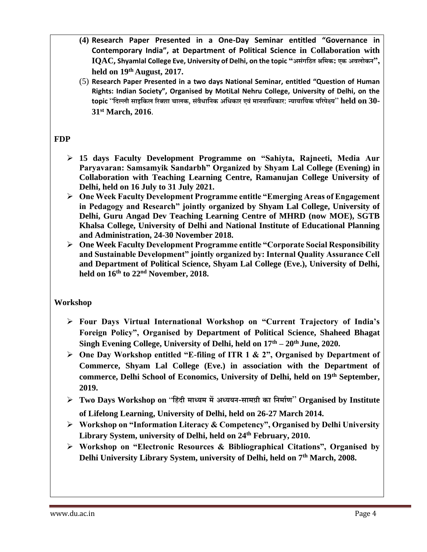- **(4) Research Paper Presented in a One-Day Seminar entitled "Governance in Contemporary India", at Department of Political Science in Collaboration with IQAC, Shyamlal College Eve, University of Delhi, on the topic "अिांगसित श्रसमक: एक अवलोकन", held on 19th August, 2017.**
- (5) **Research Paper Presented in a two days National Seminar, entitled "Question of Human Rights: Indian Society", Organised by MotiLal Nehru College, University of Delhi, on the topic** "**सदल्ली िाइसकल ररक्शा चालक**, **िांवैधासनक असधकार एवांमानवासधकार**: **न्यायासयक पररपेक्ष्य**" **held on 30- 31st March, 2016**.

# **FDP**

- ➢ **15 days Faculty Development Programme on "Sahiyta, Rajneeti, Media Aur Paryavaran: Samsamyik Sandarbh" Organized by Shyam Lal College (Evening) in Collaboration with Teaching Learning Centre, Ramanujan College University of Delhi, held on 16 July to 31 July 2021.**
- ➢ **One Week Faculty Development Programme entitle "Emerging Areas of Engagement in Pedagogy and Research" jointly organized by Shyam Lal College, University of Delhi, Guru Angad Dev Teaching Learning Centre of MHRD (now MOE), SGTB Khalsa College, University of Delhi and National Institute of Educational Planning and Administration, 24-30 November 2018.**
- ➢ **One Week Faculty Development Programme entitle "Corporate Social Responsibility and Sustainable Development" jointly organized by: Internal Quality Assurance Cell and Department of Political Science, Shyam Lal College (Eve.), University of Delhi, held on 16th to 22nd November, 2018.**

# **Workshop**

- ➢ **Four Days Virtual International Workshop on "Current Trajectory of India's Foreign Policy", Organised by Department of Political Science, Shaheed Bhagat Singh Evening College, University of Delhi, held on 17th – 20th June, 2020.**
- ➢ **One Day Workshop entitled "E-filing of ITR 1 & 2", Organised by Department of Commerce, Shyam Lal College (Eve.) in association with the Department of commerce, Delhi School of Economics, University of Delhi, held on 19th September, 2019.**
- ➢ **Two Days Workshop on** "**सहांदी माध्यम मेंअध्ययन**-**िामग्री का सनमाफण**" **Organised by Institute of Lifelong Learning, University of Delhi, held on 26-27 March 2014.**
- ➢ **Workshop on "Information Literacy & Competency", Organised by Delhi University Library System, university of Delhi, held on 24th February, 2010.**
- ➢ **Workshop on "Electronic Resources & Bibliographical Citations", Organised by Delhi University Library System, university of Delhi, held on 7th March, 2008.**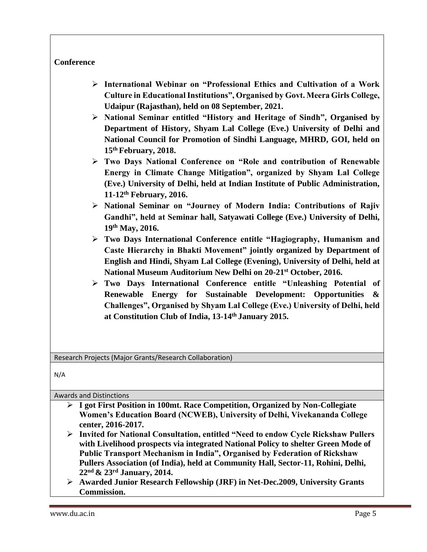#### **Conference**

- ➢ **International Webinar on "Professional Ethics and Cultivation of a Work Culture in Educational Institutions", Organised by Govt. Meera Girls College, Udaipur (Rajasthan), held on 08 September, 2021.**
- ➢ **National Seminar entitled "History and Heritage of Sindh", Organised by Department of History, Shyam Lal College (Eve.) University of Delhi and National Council for Promotion of Sindhi Language, MHRD, GOI, held on 15th February, 2018.**
- ➢ **Two Days National Conference on "Role and contribution of Renewable Energy in Climate Change Mitigation", organized by Shyam Lal College (Eve.) University of Delhi, held at Indian Institute of Public Administration, 11-12th February, 2016.**
- ➢ **National Seminar on "Journey of Modern India: Contributions of Rajiv Gandhi", held at Seminar hall, Satyawati College (Eve.) University of Delhi, 19th May, 2016.**
- ➢ **Two Days International Conference entitle "Hagiography, Humanism and Caste Hierarchy in Bhakti Movement" jointly organized by Department of English and Hindi, Shyam Lal College (Evening), University of Delhi, held at National Museum Auditorium New Delhi on 20-21st October, 2016.**
- ➢ **Two Days International Conference entitle "Unleashing Potential of Renewable Energy for Sustainable Development: Opportunities & Challenges", Organised by Shyam Lal College (Eve.) University of Delhi, held at Constitution Club of India, 13-14th January 2015.**

Research Projects (Major Grants/Research Collaboration)

N/A

Awards and Distinctions

- ➢ **I got First Position in 100mt. Race Competition, Organized by Non-Collegiate Women's Education Board (NCWEB), University of Delhi, Vivekananda College center, 2016-2017.**
- ➢ **Invited for National Consultation, entitled "Need to endow Cycle Rickshaw Pullers with Livelihood prospects via integrated National Policy to shelter Green Mode of Public Transport Mechanism in India", Organised by Federation of Rickshaw Pullers Association (of India), held at Community Hall, Sector-11, Rohini, Delhi, 22nd & 23rd January, 2014.**
- ➢ **Awarded Junior Research Fellowship (JRF) in Net-Dec.2009, University Grants Commission.**